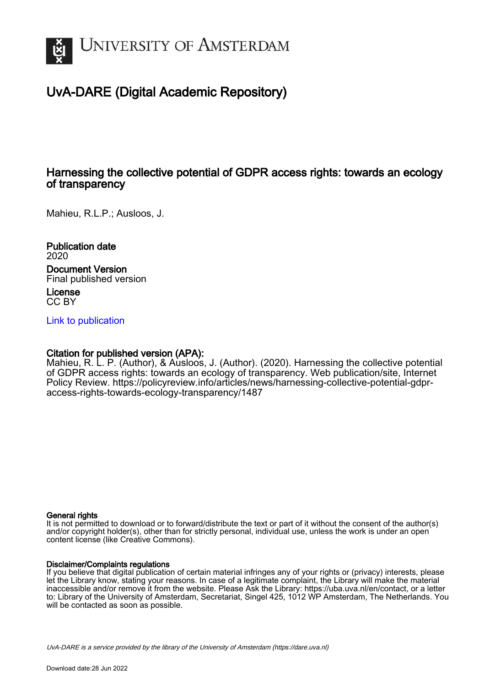

# UvA-DARE (Digital Academic Repository)

# Harnessing the collective potential of GDPR access rights: towards an ecology of transparency

Mahieu, R.L.P.; Ausloos, J.

Publication date 2020 Document Version Final published version

License CC BY

[Link to publication](https://dare.uva.nl/personal/pure/en/publications/harnessing-the-collective-potential-of-gdpr-access-rights-towards-an-ecology-of-transparency(db9c6685-f3bb-4a3b-ae5d-4bb96501f79c).html)

## Citation for published version (APA):

Mahieu, R. L. P. (Author), & Ausloos, J. (Author). (2020). Harnessing the collective potential of GDPR access rights: towards an ecology of transparency. Web publication/site, Internet Policy Review. [https://policyreview.info/articles/news/harnessing-collective-potential-gdpr](https://policyreview.info/articles/news/harnessing-collective-potential-gdpr-access-rights-towards-ecology-transparency/1487)[access-rights-towards-ecology-transparency/1487](https://policyreview.info/articles/news/harnessing-collective-potential-gdpr-access-rights-towards-ecology-transparency/1487)

### General rights

It is not permitted to download or to forward/distribute the text or part of it without the consent of the author(s) and/or copyright holder(s), other than for strictly personal, individual use, unless the work is under an open content license (like Creative Commons).

### Disclaimer/Complaints regulations

If you believe that digital publication of certain material infringes any of your rights or (privacy) interests, please let the Library know, stating your reasons. In case of a legitimate complaint, the Library will make the material inaccessible and/or remove it from the website. Please Ask the Library: https://uba.uva.nl/en/contact, or a letter to: Library of the University of Amsterdam, Secretariat, Singel 425, 1012 WP Amsterdam, The Netherlands. You will be contacted as soon as possible.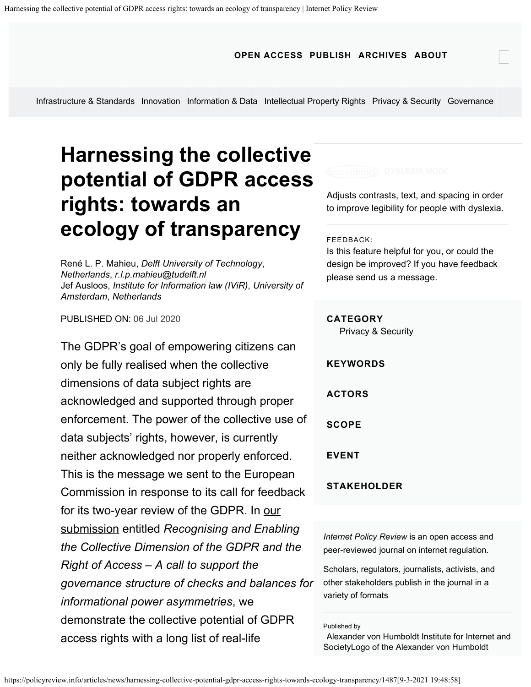**[OPEN ACCESS](https://policyreview.info/openaccess) [PUBLISH](https://policyreview.info/authors) [ARCHIVES](https://policyreview.info/archives/all) [ABOUT](https://policyreview.info/about)**

[Infrastructure & Standards](https://policyreview.info/categories/infrastructure-standards) [Innovation](https://policyreview.info/categories/business-trade) [Information & Data](https://policyreview.info/categories/access-content) [Intellectual Property Rights](https://policyreview.info/categories/copyright-ipr) [Privacy & Security](https://policyreview.info/categories/privacy-security) [Governance](https://policyreview.info/categories/procedures-governance)

# **Harnessing the collective potential of GDPR access rights: towards an ecology of transparency**

[René L. P. Mahieu](https://policyreview.info/users/rene-l-p-mahieu), *Delft University of Technology*, *Netherlands*, *[r.l.p.mahieu@tudelft.nl](mailto:r.l.p.mahieu@tudelft.nl)* [Jef Ausloos](https://policyreview.info/users/jef-ausloos), *Institute for Information law (IViR)*, *University of Amsterdam*, *Netherlands*

PUBLISHED ON: 06 Jul 2020

The GDPR's goal of empowering citizens can only be fully realised when the collective dimensions of data subject rights are acknowledged and supported through proper enforcement. The power of the collective use of data subjects' rights, however, is currently neither acknowledged nor properly enforced. This is the message we sent to the European Commission in response to its call for feedback for its two-year review of the GDPR. In [our](https://osf.io/preprints/lawarxiv/b5dwm) [submission](https://osf.io/preprints/lawarxiv/b5dwm) entitled *Recognising and Enabling the Collective Dimension of the GDPR and the Right of Access – A call to support the governance structure of checks and balances for informational power asymmetries*, we demonstrate the collective potential of GDPR access rights with a long list of real-life

Adjusts contrasts, text, and spacing in order to improve legibility for people with dyslexia.

#### FEEDBACK:

Is this feature helpful for you, or could the design be improved? If you have feedback [please send us a message.](mailto:editor@policyreview.info&subject=Feedback%20on%20dyslexia%20mode)

#### **CATEGORY**

[Privacy & Security](https://policyreview.info/categories/privacy-security)

**KEYWORDS**

**ACTORS**

**SCOPE**

**EVENT**

### **STAKEHOLDER**

*[Internet Policy Review](https://policyreview.info/)* is an open access and peer-reviewed journal on internet regulation.

Scholars, regulators, journalists, activists, and other stakeholders publish in the journal in a variety of formats

Published by

[Alexander von Humboldt Institute for Internet and](https://hiig.de/en) [SocietyLogo of the Alexander von Humboldt](https://hiig.de/en)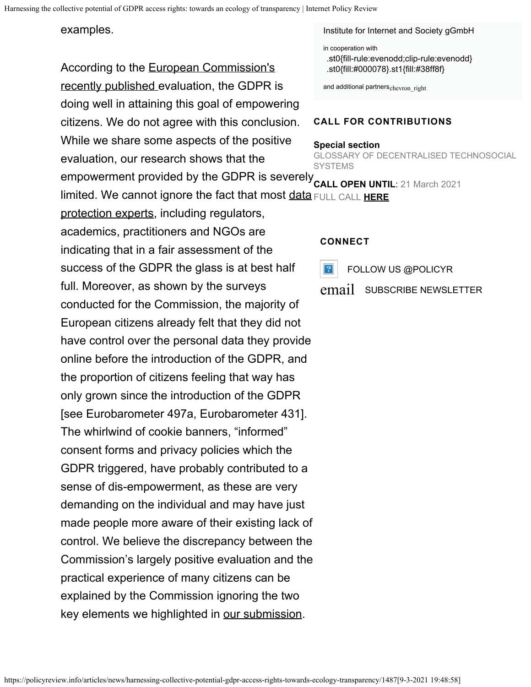## examples.

According to the [European Commission's](https://ec.europa.eu/info/sites/info/files/1_en_act_part1_v6_1.pdf) [recently published e](https://ec.europa.eu/info/sites/info/files/1_en_act_part1_v6_1.pdf)valuation, the GDPR is doing well in attaining this goal of empowering citizens. We do not agree with this conclusion. While we share some aspects of the positive evaluation, our research shows that the

[protection experts](https://iapp.org/resources/article/gdpr-at-two-expert-perspectives/), including regulators, academics, practitioners and NGOs are indicating that in a fair assessment of the success of the GDPR the glass is at best half full. Moreover, as shown by the surveys conducted for the Commission, the majority of European citizens already felt that they did not have control over the personal data they provide online before the introduction of the GDPR, and the proportion of citizens feeling that way has only grown since the introduction of the GDPR [see Eurobarometer 497a, Eurobarometer 431]. The whirlwind of cookie banners, "informed" consent forms and privacy policies which the GDPR triggered, have probably contributed to a sense of dis-empowerment, as these are very demanding on the individual and may have just made people more aware of their existing lack of control. We believe the discrepancy between the Commission's largely positive evaluation and the practical experience of many citizens can be explained by the Commission ignoring the two key elements we highlighted in [our submission.](https://osf.io/preprints/lawarxiv/b5dwm)

[Institute for Internet and Society gGmbH](https://hiig.de/en)

in cooperation with

[.st0{fill-rule:evenodd;clip-rule:evenodd}](https://www.create.ac.uk/) [.st0{fill:#000078}.st1{fill:#38ff8f}](https://www.uoc.edu/portal/en/in3/index.html)

[and additional partners](https://policyreview.info/partners)<sub>chevron\_right</sub>

### **CALL FOR CONTRIBUTIONS**

#### **Special section**

GLOSSARY OF DECENTRALISED TECHNOSOCIAL **SYSTEMS** 

empowerment provided by the GDPR is severely **CALL OPEN UNTIL**: 21 March 2021 limited. We cannot ignore the fact that most [data](https://iapp.org/resources/article/gdpr-at-two-expert-perspectives/) FULL CALL **[HERE](https://policyreview.info/node/1541)**

### **CONNECT**

 $|2|$ 

FOLLOW US [@POLICYR](https://twitter.com/PolicyR/)

[email](https://www.hiig.de/en/newsletter-registration/) SUBSCRIBE [NEWSLETTER](https://www.hiig.de/en/newsletter-registration/)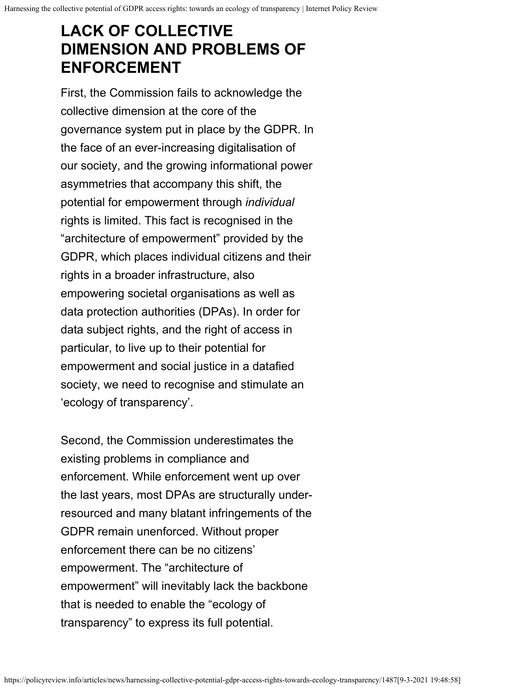# **LACK OF COLLECTIVE DIMENSION AND PROBLEMS OF ENFORCEMENT**

First, the Commission fails to acknowledge the collective dimension at the core of the governance system put in place by the GDPR. In the face of an ever-increasing digitalisation of our society, and the growing informational power asymmetries that accompany this shift, the potential for empowerment through *individual* rights is limited. This fact is recognised in the "architecture of empowerment" provided by the GDPR, which places individual citizens and their rights in a broader infrastructure, also empowering societal organisations as well as data protection authorities (DPAs). In order for data subject rights, and the right of access in particular, to live up to their potential for empowerment and social justice in a datafied society, we need to recognise and stimulate an 'ecology of transparency'.

Second, the Commission underestimates the existing problems in compliance and enforcement. While enforcement went up over the last years, most DPAs are structurally underresourced and many blatant infringements of the GDPR remain unenforced. Without proper enforcement there can be no citizens' empowerment. The "architecture of empowerment" will inevitably lack the backbone that is needed to enable the "ecology of transparency" to express its full potential.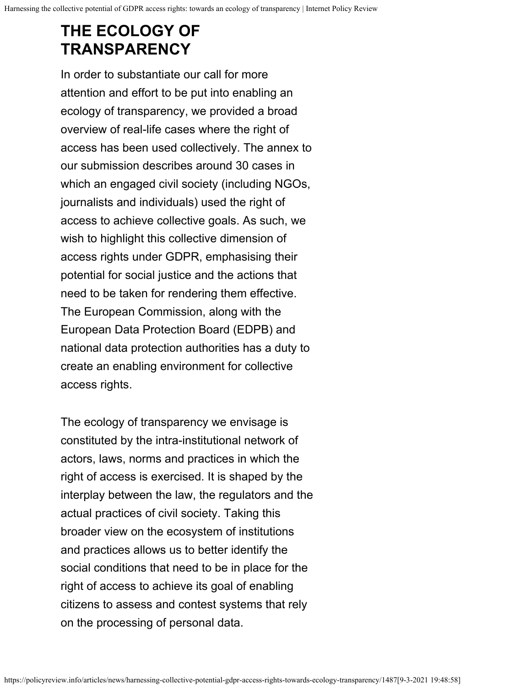# **THE ECOLOGY OF TRANSPARENCY**

In order to substantiate our call for more attention and effort to be put into enabling an ecology of transparency, we provided a broad overview of real-life cases where the right of access has been used collectively. The annex to our submission describes around 30 cases in which an engaged civil society (including NGOs, journalists and individuals) used the right of access to achieve collective goals. As such, we wish to highlight this collective dimension of access rights under GDPR, emphasising their potential for social justice and the actions that need to be taken for rendering them effective. The European Commission, along with the European Data Protection Board (EDPB) and national data protection authorities has a duty to create an enabling environment for collective access rights.

The ecology of transparency we envisage is constituted by the intra-institutional network of actors, laws, norms and practices in which the right of access is exercised. It is shaped by the interplay between the law, the regulators and the actual practices of civil society. Taking this broader view on the ecosystem of institutions and practices allows us to better identify the social conditions that need to be in place for the right of access to achieve its goal of enabling citizens to assess and contest systems that rely on the processing of personal data.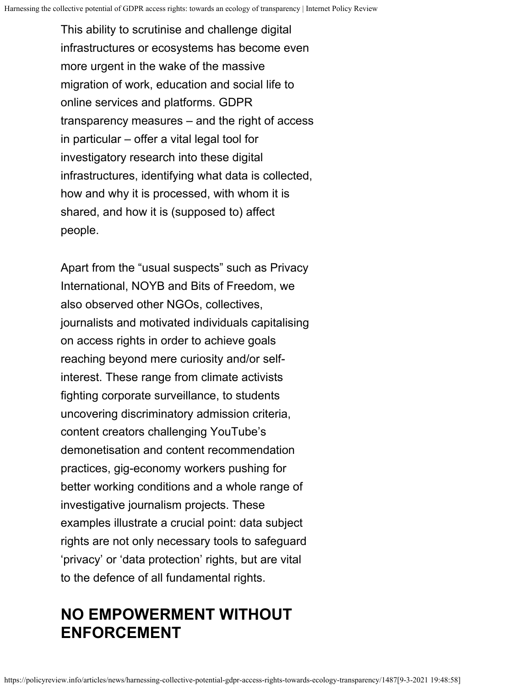This ability to scrutinise and challenge digital infrastructures or ecosystems has become even more urgent in the wake of the massive migration of work, education and social life to online services and platforms. GDPR transparency measures – and the right of access in particular – offer a vital legal tool for investigatory research into these digital infrastructures, identifying what data is collected, how and why it is processed, with whom it is shared, and how it is (supposed to) affect people.

Apart from the "usual suspects" such as Privacy International, NOYB and Bits of Freedom, we also observed other NGOs, collectives, journalists and motivated individuals capitalising on access rights in order to achieve goals reaching beyond mere curiosity and/or selfinterest. These range from climate activists fighting corporate surveillance, to students uncovering discriminatory admission criteria, content creators challenging YouTube's demonetisation and content recommendation practices, gig-economy workers pushing for better working conditions and a whole range of investigative journalism projects. These examples illustrate a crucial point: data subject rights are not only necessary tools to safeguard 'privacy' or 'data protection' rights, but are vital to the defence of all fundamental rights.

# **NO EMPOWERMENT WITHOUT ENFORCEMENT**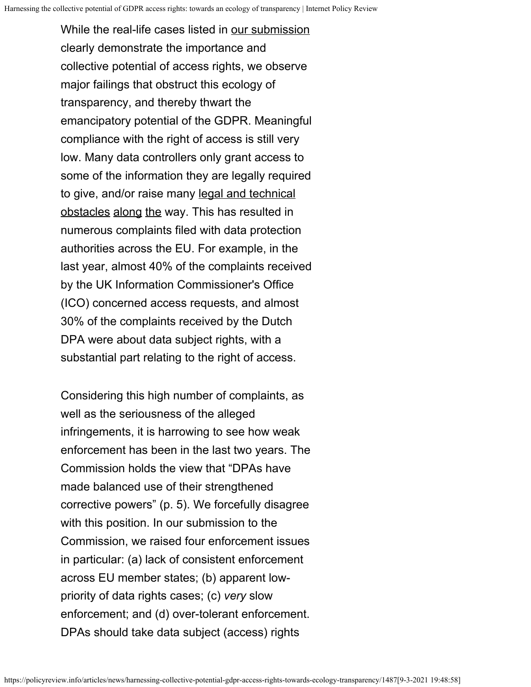While the real-life cases listed in [our submission](https://osf.io/preprints/lawarxiv/b5dwm) clearly demonstrate the importance and collective potential of access rights, we observe major failings that obstruct this ecology of transparency, and thereby thwart the emancipatory potential of the GDPR. Meaningful compliance with the right of access is still very low. Many data controllers only grant access to some of the information they are legally required to give, and/or raise many [legal and technical](https://osf.io/e2thg) [obstacles](https://policyreview.info/articles/analysis/collectively-exercising-right-access-individual-effort-societal-effect) [along](https://academic.oup.com/idpl/advance-article/doi/10.1093/idpl/ipy001/4922871) [the](https://www.law.kuleuven.be/citip/blog/paul-olivier-dehaye-and-the-raiders-of-the-lost-data/) way. This has resulted in numerous complaints filed with data protection authorities across the EU. For example, in the last year, almost 40% of the complaints received by the UK Information Commissioner's Office (ICO) concerned access requests, and almost 30% of the complaints received by the Dutch DPA were about data subject rights, with a substantial part relating to the right of access.

Considering this high number of complaints, as well as the seriousness of the alleged infringements, it is harrowing to see how weak enforcement has been in the last two years. The Commission holds the view that "DPAs have made balanced use of their strengthened corrective powers" (p. 5). We forcefully disagree with this position. In our submission to the Commission, we raised four enforcement issues in particular: (a) lack of consistent enforcement across EU member states; (b) apparent lowpriority of data rights cases; (c) *very* slow enforcement; and (d) over-tolerant enforcement. DPAs should take data subject (access) rights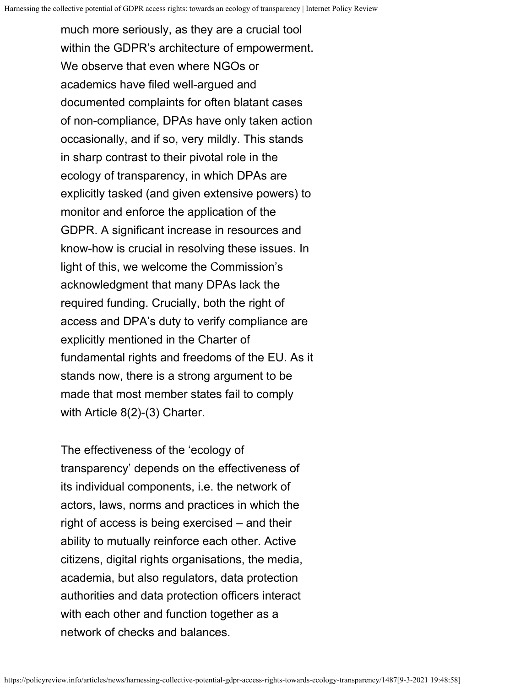much more seriously, as they are a crucial tool within the GDPR's architecture of empowerment. We observe that even where NGOs or academics have filed well-argued and documented complaints for often blatant cases of non-compliance, DPAs have only taken action occasionally, and if so, very mildly. This stands in sharp contrast to their pivotal role in the ecology of transparency, in which DPAs are explicitly tasked (and given extensive powers) to monitor and enforce the application of the GDPR. A significant increase in resources and know-how is crucial in resolving these issues. In light of this, we welcome the Commission's acknowledgment that many DPAs lack the required funding. Crucially, both the right of access and DPA's duty to verify compliance are explicitly mentioned in the Charter of fundamental rights and freedoms of the EU. As it stands now, there is a strong argument to be made that most member states fail to comply with Article 8(2)-(3) Charter.

The effectiveness of the 'ecology of transparency' depends on the effectiveness of its individual components, i.e. the network of actors, laws, norms and practices in which the right of access is being exercised – and their ability to mutually reinforce each other. Active citizens, digital rights organisations, the media, academia, but also regulators, data protection authorities and data protection officers interact with each other and function together as a network of checks and balances.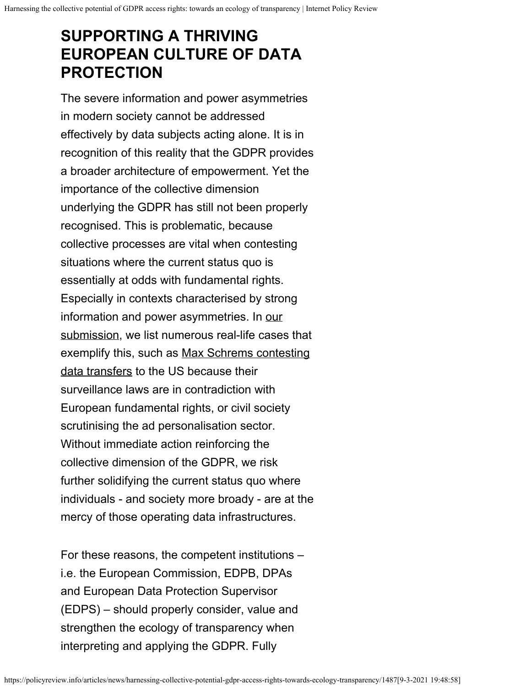# **SUPPORTING A THRIVING EUROPEAN CULTURE OF DATA PROTECTION**

The severe information and power asymmetries in modern society cannot be addressed effectively by data subjects acting alone. It is in recognition of this reality that the GDPR provides a broader architecture of empowerment. Yet the importance of the collective dimension underlying the GDPR has still not been properly recognised. This is problematic, because collective processes are vital when contesting situations where the current status quo is essentially at odds with fundamental rights. Especially in contexts characterised by strong information and power asymmetries. In [our](https://osf.io/preprints/lawarxiv/b5dwm) [submission,](https://osf.io/preprints/lawarxiv/b5dwm) we list numerous real-life cases that exemplify this, such as [Max Schrems contesting](https://noyb.eu/en/prep-background-tomorrows-ag-opinion-0) [data transfers](https://noyb.eu/en/prep-background-tomorrows-ag-opinion-0) to the US because their surveillance laws are in contradiction with European fundamental rights, or civil society scrutinising the ad personalisation sector. Without immediate action reinforcing the collective dimension of the GDPR, we risk further solidifying the current status quo where individuals - and society more broady - are at the mercy of those operating data infrastructures.

For these reasons, the competent institutions – i.e. the European Commission, EDPB, DPAs and European Data Protection Supervisor (EDPS) – should properly consider, value and strengthen the ecology of transparency when interpreting and applying the GDPR. Fully